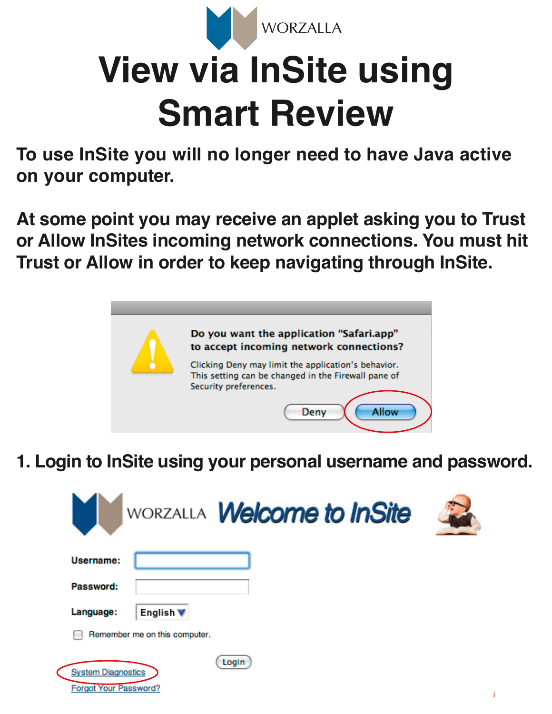

## **View via InSite using Smart Review**

**To use InSite you will no longer need to have Java active on your computer.** 

**At some point you may receive an applet asking you to Trust or Allow InSites incoming network connections. You must hit Trust or Allow in order to keep navigating through InSite.**



**1. Login to InSite using your personal username and password.**

| WORZALLA <b>Welcome to InSite</b>                                  |  |
|--------------------------------------------------------------------|--|
| Username:                                                          |  |
| Password:                                                          |  |
| Language:<br>English V                                             |  |
| Remember me on this computer.                                      |  |
| Login<br><b>System Diagnostics</b><br><b>Forgot Your Password?</b> |  |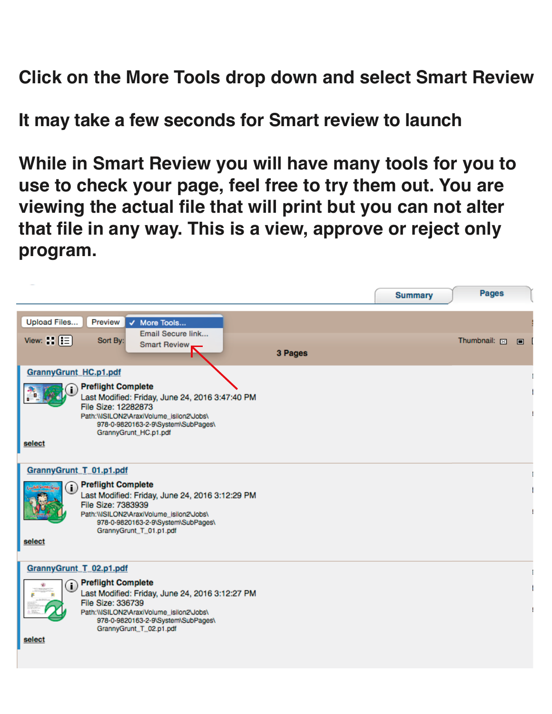**Click on the More Tools drop down and select Smart Review**

**It may take a few seconds for Smart review to launch**

**While in Smart Review you will have many tools for you to use to check your page, feel free to try them out. You are viewing the actual file that will print but you can not alter that file in any way. This is a view, approve or reject only program.**